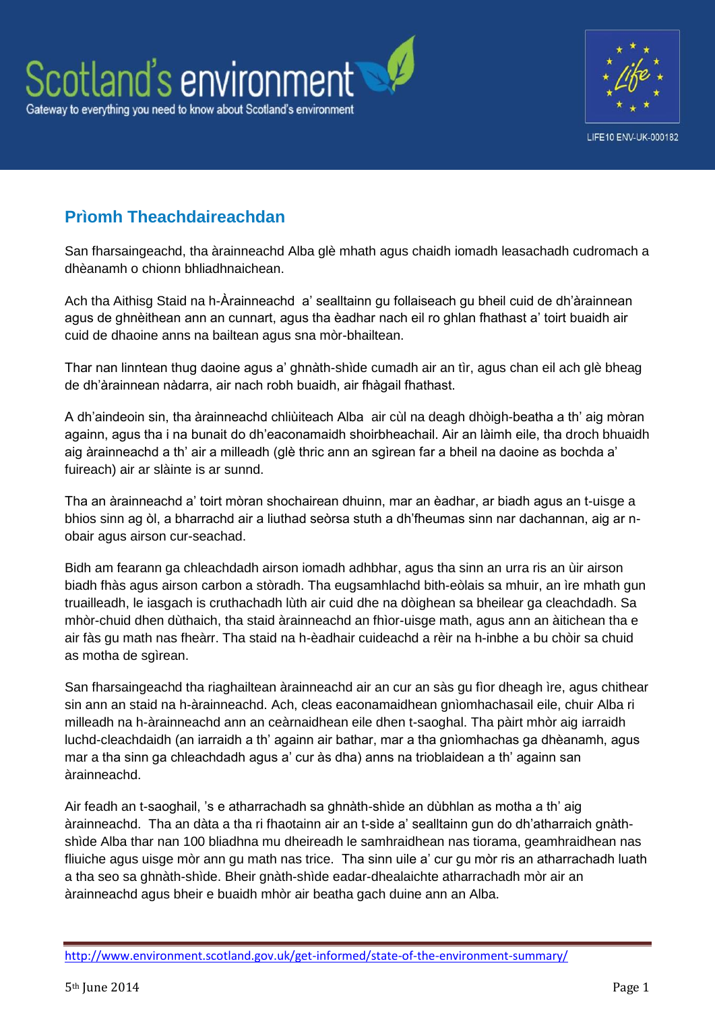



# **Prìomh Theachdaireachdan**

San fharsaingeachd, tha àrainneachd Alba glè mhath agus chaidh iomadh leasachadh cudromach a dhèanamh o chionn bhliadhnaichean.

Ach tha Aithisg Staid na h-Àrainneachd a' sealltainn gu follaiseach gu bheil cuid de dh'àrainnean agus de ghnèithean ann an cunnart, agus tha èadhar nach eil ro ghlan fhathast a' toirt buaidh air cuid de dhaoine anns na bailtean agus sna mòr-bhailtean.

Thar nan linntean thug daoine agus a' ghnàth-shìde cumadh air an tìr, agus chan eil ach glè bheag de dh'àrainnean nàdarra, air nach robh buaidh, air fhàgail fhathast.

A dh'aindeoin sin, tha àrainneachd chliùiteach Alba air cùl na deagh dhòigh-beatha a th' aig mòran againn, agus tha i na bunait do dh'eaconamaidh shoirbheachail. Air an làimh eile, tha droch bhuaidh aig àrainneachd a th' air a milleadh (glè thric ann an sgìrean far a bheil na daoine as bochda a' fuireach) air ar slàinte is ar sunnd.

Tha an àrainneachd a' toirt mòran shochairean dhuinn, mar an èadhar, ar biadh agus an t-uisge a bhios sinn ag òl, a bharrachd air a liuthad seòrsa stuth a dh'fheumas sinn nar dachannan, aig ar nobair agus airson cur-seachad.

Bidh am fearann ga chleachdadh airson iomadh adhbhar, agus tha sinn an urra ris an ùir airson biadh fhàs agus airson carbon a stòradh. Tha eugsamhlachd bith-eòlais sa mhuir, an ìre mhath gun truailleadh, le iasgach is cruthachadh lùth air cuid dhe na dòighean sa bheilear ga cleachdadh. Sa mhòr-chuid dhen dùthaich, tha staid àrainneachd an fhìor-uisge math, agus ann an àitichean tha e air fàs gu math nas fheàrr. Tha staid na h-èadhair cuideachd a rèir na h-inbhe a bu chòir sa chuid as motha de sgìrean.

San fharsaingeachd tha riaghailtean àrainneachd air an cur an sàs gu fìor dheagh ìre, agus chithear sin ann an staid na h-àrainneachd. Ach, cleas eaconamaidhean gnìomhachasail eile, chuir Alba ri milleadh na h-àrainneachd ann an ceàrnaidhean eile dhen t-saoghal. Tha pàirt mhòr aig iarraidh luchd-cleachdaidh (an iarraidh a th' againn air bathar, mar a tha gnìomhachas ga dhèanamh, agus mar a tha sinn ga chleachdadh agus a' cur às dha) anns na trioblaidean a th' againn san àrainneachd.

Air feadh an t-saoghail, 's e atharrachadh sa ghnàth-shìde an dùbhlan as motha a th' aig àrainneachd. Tha an dàta a tha ri fhaotainn air an t-sìde a' sealltainn gun do dh'atharraich gnàthshìde Alba thar nan 100 bliadhna mu dheireadh le samhraidhean nas tiorama, geamhraidhean nas fliuiche agus uisge mòr ann gu math nas trice. Tha sinn uile a' cur gu mòr ris an atharrachadh luath a tha seo sa ghnàth-shìde. Bheir gnàth-shìde eadar-dhealaichte atharrachadh mòr air an àrainneachd agus bheir e buaidh mhòr air beatha gach duine ann an Alba.

<http://www.environment.scotland.gov.uk/get-informed/state-of-the-environment-summary/>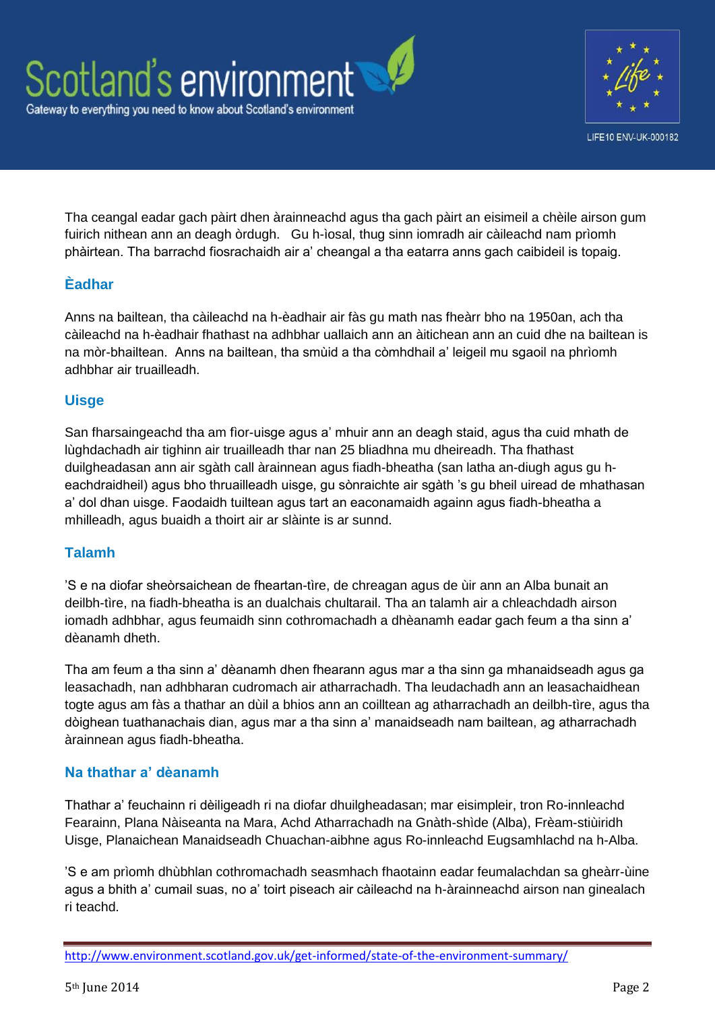

Tha ceangal eadar gach pàirt dhen àrainneachd agus tha gach pàirt an eisimeil a chèile airson gum fuirich nithean ann an deagh òrdugh. Gu h-ìosal, thug sinn iomradh air càileachd nam prìomh phàirtean. Tha barrachd fiosrachaidh air a' cheangal a tha eatarra anns gach caibideil is topaig.

## **Èadhar**

Anns na bailtean, tha càileachd na h-èadhair air fàs gu math nas fheàrr bho na 1950an, ach tha càileachd na h-èadhair fhathast na adhbhar uallaich ann an àitichean ann an cuid dhe na bailtean is na mòr-bhailtean. Anns na bailtean, tha smùid a tha còmhdhail a' leigeil mu sgaoil na phrìomh adhbhar air truailleadh.

## **Uisge**

San fharsaingeachd tha am fìor-uisge agus a' mhuir ann an deagh staid, agus tha cuid mhath de lùghdachadh air tighinn air truailleadh thar nan 25 bliadhna mu dheireadh. Tha fhathast duilgheadasan ann air sgàth call àrainnean agus fiadh-bheatha (san latha an-diugh agus gu heachdraidheil) agus bho thruailleadh uisge, gu sònraichte air sgàth 's gu bheil uiread de mhathasan a' dol dhan uisge. Faodaidh tuiltean agus tart an eaconamaidh againn agus fiadh-bheatha a mhilleadh, agus buaidh a thoirt air ar slàinte is ar sunnd.

### **Talamh**

'S e na diofar sheòrsaichean de fheartan-tìre, de chreagan agus de ùir ann an Alba bunait an deilbh-tìre, na fiadh-bheatha is an dualchais chultarail. Tha an talamh air a chleachdadh airson iomadh adhbhar, agus feumaidh sinn cothromachadh a dhèanamh eadar gach feum a tha sinn a' dèanamh dheth.

Tha am feum a tha sinn a' dèanamh dhen fhearann agus mar a tha sinn ga mhanaidseadh agus ga leasachadh, nan adhbharan cudromach air atharrachadh. Tha leudachadh ann an leasachaidhean togte agus am fàs a thathar an dùil a bhios ann an coilltean ag atharrachadh an deilbh-tìre, agus tha dòighean tuathanachais dian, agus mar a tha sinn a' manaidseadh nam bailtean, ag atharrachadh àrainnean agus fiadh-bheatha.

### **Na thathar a' dèanamh**

Thathar a' feuchainn ri dèiligeadh ri na diofar dhuilgheadasan; mar eisimpleir, tron Ro-innleachd Fearainn, Plana Nàiseanta na Mara, Achd Atharrachadh na Gnàth-shìde (Alba), Frèam-stiùiridh Uisge, Planaichean Manaidseadh Chuachan-aibhne agus Ro-innleachd Eugsamhlachd na h-Alba.

'S e am prìomh dhùbhlan cothromachadh seasmhach fhaotainn eadar feumalachdan sa gheàrr-ùine agus a bhith a' cumail suas, no a' toirt piseach air càileachd na h-àrainneachd airson nan ginealach ri teachd.

<http://www.environment.scotland.gov.uk/get-informed/state-of-the-environment-summary/>